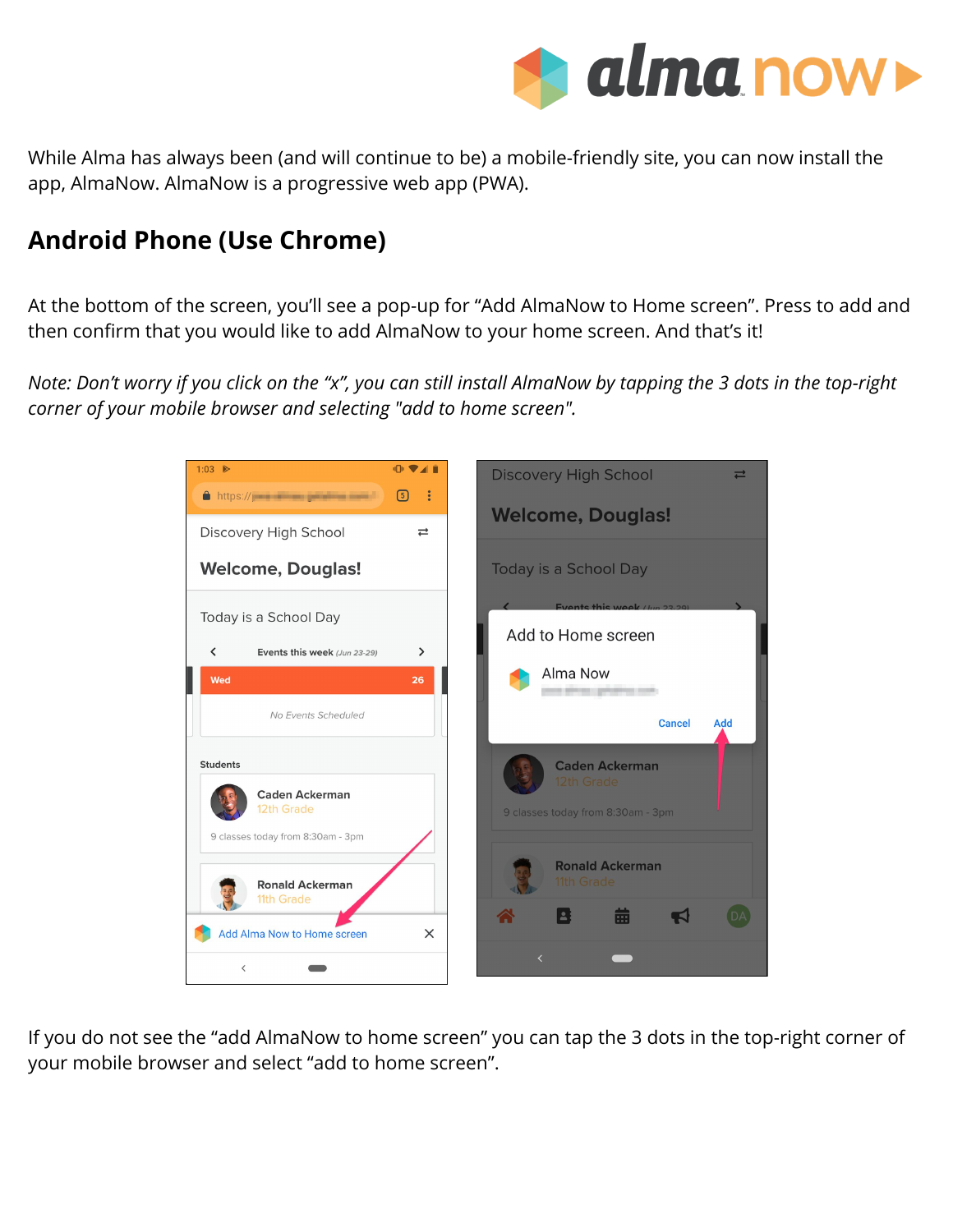

While Alma has always been (and will continue to be) a mobile-friendly site, you can now install the app, AlmaNow. AlmaNow is a progressive web app (PWA).

## **Android Phone (Use Chrome)**

At the bottom of the screen, you'll see a pop-up for "Add AlmaNow to Home screen". Press to add and then confirm that you would like to add AlmaNow to your home screen. And that's it!

*Note: Don't worry if you click on the "x", you can still install AlmaNow by tapping the 3 dots in the top-right corner of your mobile browser and selecting "add to home screen".*



If you do not see the "add AlmaNow to home screen" you can tap the 3 dots in the top-right corner of your mobile browser and select "add to home screen".